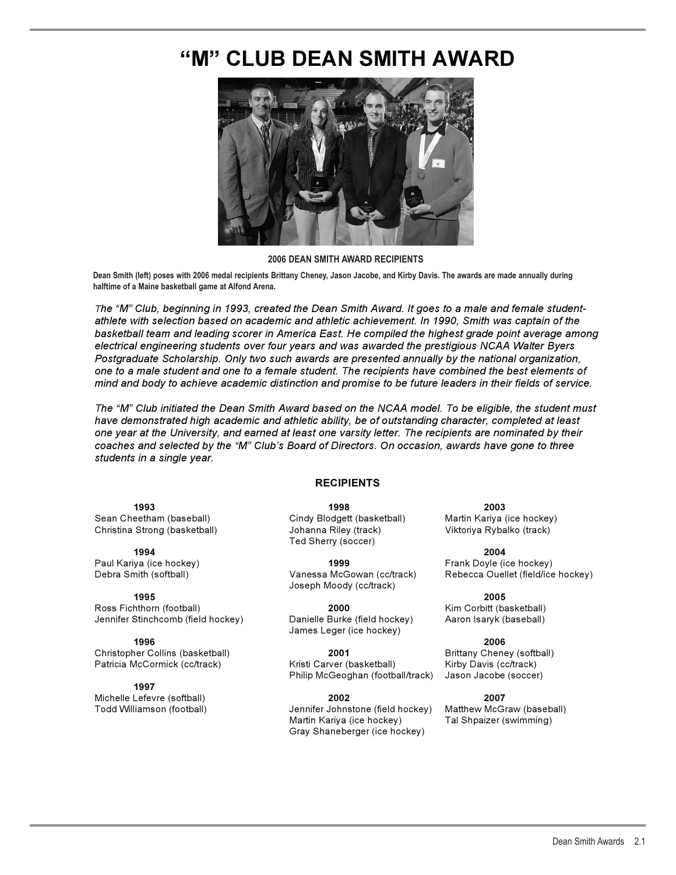# **"M" CLUB DEAN SMITH AWARD**



### **2006 DEAN SMITH AWARD RECIPIENTS**

**Dean Smith (left) poses with 2006 medal recipients Brittany Cheney, Jason Jacobe, and Kirby Davis. The awards are made annually during halftime of a Maine basketball game at Alfond Arena.**

*The "M" Club, beginning in 1993, created the Dean Smith Award. It goes to a male and female studentathlete with selection based on academic and athletic achievement. In 1990, Smith was captain of the basketball team and leading scorer in America East. He compiled the highest grade point average among electrical engineering students over four years and was awarded the prestigious NCAA Walter Byers Postgraduate Scholarship. Only two such awards are presented annually by the national organization, one to a male student and one to a female student. The recipients have combined the best elements of mind and body to achieve academic distinction and promise to be future leaders in their fields of service.*

*The "M" Club initiated the Dean Smith Award based on the NCAA model. To be eligible, the student must have demonstrated high academic and athletic ability, be of outstanding character, completed at least one year at the University, and earned at least one varsity letter. The recipients are nominated by their coaches and selected by the "M" Club's Board of Directors. On occasion, awards have gone to three students in a single year.*

## **RECIPIENTS**

Christina Strong (basketball) Johanna Riley (track) Viktoriya Rybalko (track)

Jennifer Stinchcomb (field hockey) Danielle Burke (field hockey) Aaron Isaryk (baseball)

**1996 2006**  Christopher Collins (basketball) **2001** Brittany Cheney (softball)

**1997**  Michelle Lefevre (softball) **2002 2007** 

**1993 1998 2003**  Ted Sherry (soccer)

Paul Kariya (ice hockey) **1999** Frank Doyle (ice hockey) Joseph Moody (cc/track)

Ross Fichthorn (football) **2000** Kim Corbitt (basketball) James Leger (ice hockey)

Patricia McCormick (cc/track) Kristi Carver (basketball) Kirby Davis (cc/track) Philip McGeoghan (football/track) Jason Jacobe (soccer)

> Jennifer Johnstone (field hockey) Martin Kariya (ice hockey) Tal Shpaizer (swimming) Gray Shaneberger (ice hockey)

Sean Cheetham (baseball) Cindy Blodgett (basketball) Martin Kariya (ice hockey)

**1994 2004**  Debra Smith (softball) Vanessa McGowan (cc/track) Rebecca Ouellet (field/ice hockey)

**1995 2005**